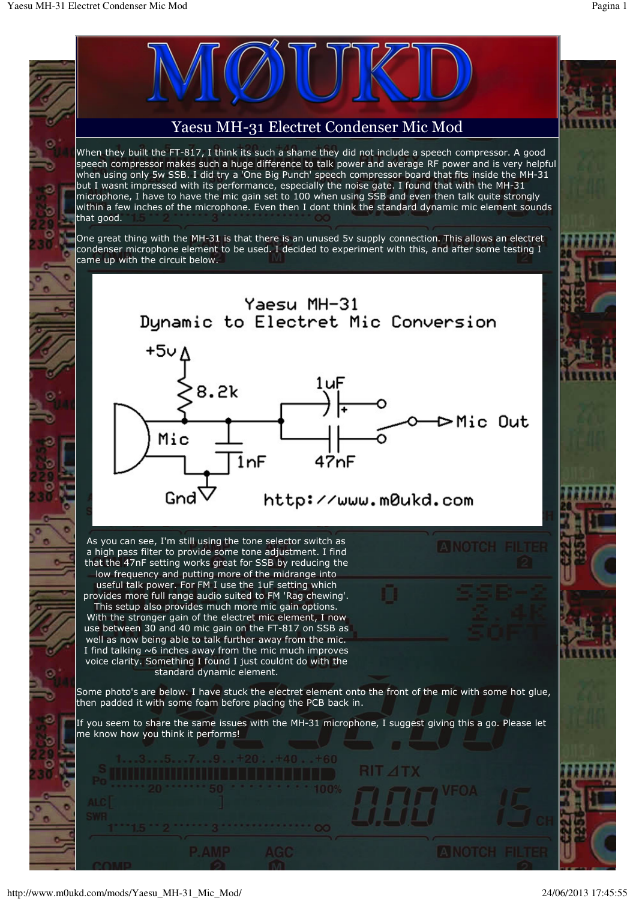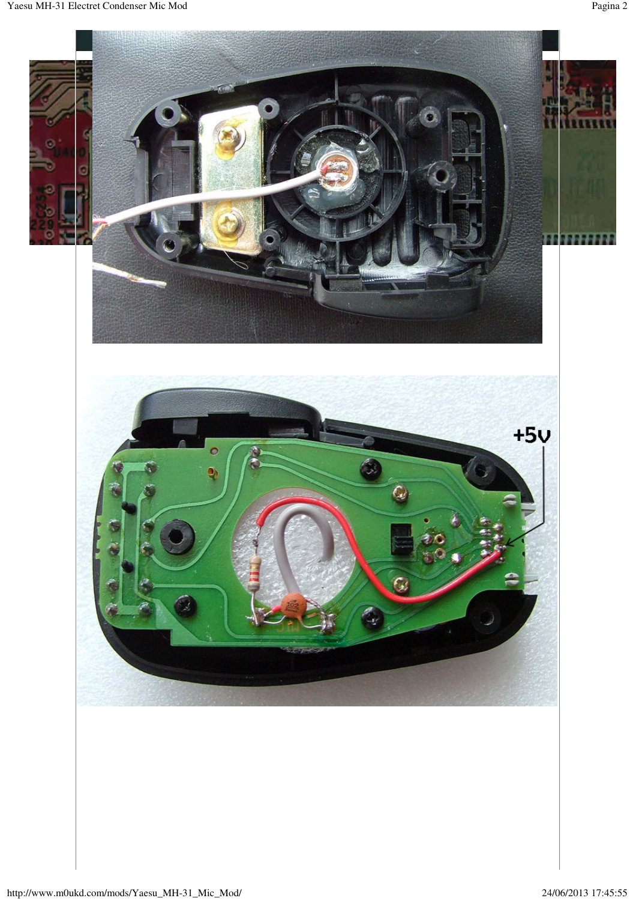